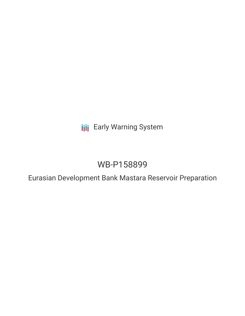**III** Early Warning System

# WB-P158899

Eurasian Development Bank Mastara Reservoir Preparation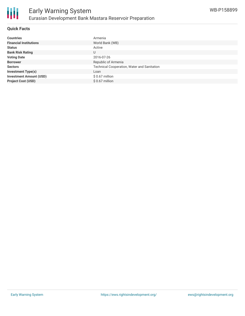

### **Quick Facts**

| <b>Countries</b>               | Armenia                                     |
|--------------------------------|---------------------------------------------|
| <b>Financial Institutions</b>  | World Bank (WB)                             |
| <b>Status</b>                  | Active                                      |
| <b>Bank Risk Rating</b>        | U                                           |
| <b>Voting Date</b>             | 2016-07-26                                  |
| <b>Borrower</b>                | Republic of Armenia                         |
| <b>Sectors</b>                 | Technical Cooperation, Water and Sanitation |
| <b>Investment Type(s)</b>      | Loan                                        |
| <b>Investment Amount (USD)</b> | $$0.67$ million                             |
| <b>Project Cost (USD)</b>      | $$0.67$ million                             |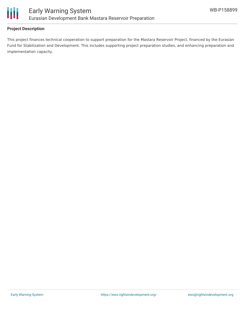

#### **Project Description**

This project finances technical cooperation to support preparation for the Mastara Reservoir Project, financed by the Eurasian Fund for Stabilization and Development. This includes supporting project preparation studies, and enhancing preparation and implementation capacity.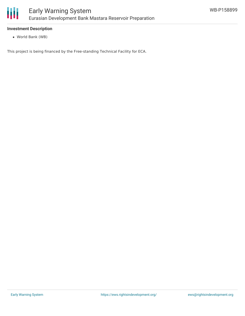

#### **Investment Description**

World Bank (WB)

This project is being financed by the Free-standing Technical Facility for ECA.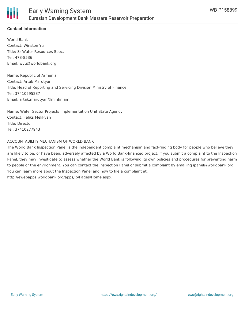

## **Contact Information**

World Bank Contact: Winston Yu Title: Sr Water Resources Spec. Tel: 473-8536 Email: wyu@worldbank.org

Name: Republic of Armenia Contact: Artak Marutyan Title: Head of Reporting and Servicing Division Ministry of Finance Tel: 37410595237 Email: artak.marutyan@minfin.am

Name: Water Sector Projects Implementation Unit State Agency Contact: Feliks Melikyan Title: Director Tel: 37410277943

#### ACCOUNTABILITY MECHANISM OF WORLD BANK

The World Bank Inspection Panel is the independent complaint mechanism and fact-finding body for people who believe they are likely to be, or have been, adversely affected by a World Bank-financed project. If you submit a complaint to the Inspection Panel, they may investigate to assess whether the World Bank is following its own policies and procedures for preventing harm to people or the environment. You can contact the Inspection Panel or submit a complaint by emailing ipanel@worldbank.org. You can learn more about the Inspection Panel and how to file a complaint at: http://ewebapps.worldbank.org/apps/ip/Pages/Home.aspx.